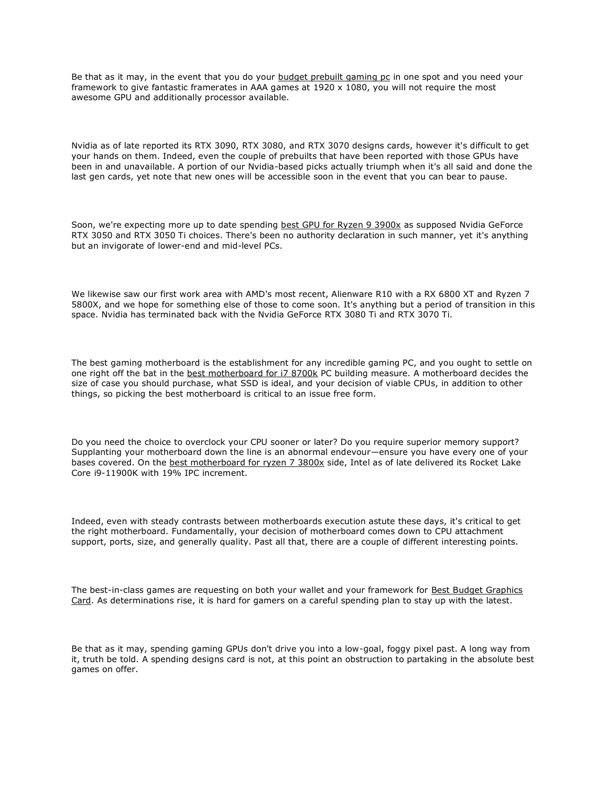Be that as it may, in the event that you do your [budget prebuilt gaming pc](https://dariusreviews.com/top-10-budget-prebuilt-gaming-pc/) in one spot and you need your framework to give fantastic framerates in AAA games at  $1920 \times 1080$ , you will not require the most awesome GPU and additionally processor available.

Nvidia as of late reported its RTX 3090, RTX 3080, and RTX 3070 designs cards, however it's difficult to get your hands on them. Indeed, even the couple of prebuilts that have been reported with those GPUs have been in and unavailable. A portion of our Nvidia-based picks actually triumph when it's all said and done the last gen cards, yet note that new ones will be accessible soon in the event that you can bear to pause.

Soon, we're expecting more up to date spending [best GPU for Ryzen 9 3900x](https://dariusreviews.com/best-gpu-for-ryzen-9-3900x/) as supposed Nvidia GeForce RTX 3050 and RTX 3050 Ti choices. There's been no authority declaration in such manner, yet it's anything but an invigorate of lower-end and mid-level PCs.

We likewise saw our first work area with AMD's most recent, Alienware R10 with a RX 6800 XT and Ryzen 7 5800X, and we hope for something else of those to come soon. It's anything but a period of transition in this space. Nvidia has terminated back with the Nvidia GeForce RTX 3080 Ti and RTX 3070 Ti.

The best gaming motherboard is the establishment for any incredible gaming PC, and you ought to settle on one right off the bat in the [best motherboard for i7 8700k](https://dariusreviews.com/best-motherboard-for-i7-8700k/) PC building measure. A motherboard decides the size of case you should purchase, what SSD is ideal, and your decision of viable CPUs, in addition to other things, so picking the best motherboard is critical to an issue free form.

Do you need the choice to overclock your CPU sooner or later? Do you require superior memory support? Supplanting your motherboard down the line is an abnormal endevour—ensure you have every one of your bases covered. On the [best motherboard for ryzen 7 3800x](https://dariusreviews.com/best-motherboard-for-ryzen-7-3800x/) side, Intel as of late delivered its Rocket Lake Core i9-11900K with 19% IPC increment.

Indeed, even with steady contrasts between motherboards execution astute these days, it's critical to get the right motherboard. Fundamentally, your decision of motherboard comes down to CPU attachment support, ports, size, and generally quality. Past all that, there are a couple of different interesting points.

The best-in-class games are requesting on both your wallet and your framework for Best Budget Graphics [Card.](https://www.gamingtechreviewer.com/graphics-cards/best-budget-graphics-card/) As determinations rise, it is hard for gamers on a careful spending plan to stay up with the latest.

Be that as it may, spending gaming GPUs don't drive you into a low-goal, foggy pixel past. A long way from it, truth be told. A spending designs card is not, at this point an obstruction to partaking in the absolute best games on offer.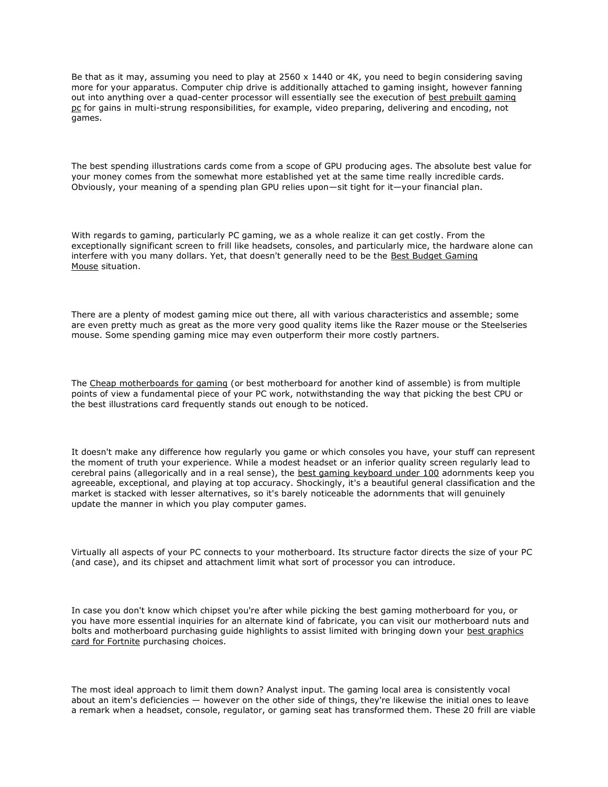Be that as it may, assuming you need to play at 2560 x 1440 or 4K, you need to begin considering saving more for your apparatus. Computer chip drive is additionally attached to gaming insight, however fanning out into anything over a quad-center processor will essentially see the execution of [best prebuilt gaming](https://dariusreviews.com/top-10-budget-prebuilt-gaming-pc/)  [pc](https://dariusreviews.com/top-10-budget-prebuilt-gaming-pc/) for gains in multi-strung responsibilities, for example, video preparing, delivering and encoding, not games.

The best spending illustrations cards come from a scope of GPU producing ages. The absolute best value for your money comes from the somewhat more established yet at the same time really incredible cards. Obviously, your meaning of a spending plan GPU relies upon—sit tight for it—your financial plan.

With regards to gaming, particularly PC gaming, we as a whole realize it can get costly. From the exceptionally significant screen to frill like headsets, consoles, and particularly mice, the hardware alone can interfere with you many dollars. Yet, that doesn't generally need to be the Best Budget Gaming [Mouse](https://www.gamingtechreviewer.com/mouse/best-budget-gaming-mouse/) situation.

There are a plenty of modest gaming mice out there, all with various characteristics and assemble; some are even pretty much as great as the more very good quality items like the Razer mouse or the Steelseries mouse. Some spending gaming mice may even outperform their more costly partners.

The [Cheap motherboards for gaming](https://www.gamingtechreviewer.com/motherboards/cheap-motherboards-for-gaming/) (or best motherboard for another kind of assemble) is from multiple points of view a fundamental piece of your PC work, notwithstanding the way that picking the best CPU or the best illustrations card frequently stands out enough to be noticed.

It doesn't make any difference how regularly you game or which consoles you have, your stuff can represent the moment of truth your experience. While a modest headset or an inferior quality screen regularly lead to cerebral pains (allegorically and in a real sense), the [best gaming keyboard under 100](https://dariusreviews.com/best-gaming-keyboard-under-100/) adornments keep you agreeable, exceptional, and playing at top accuracy. Shockingly, it's a beautiful general classification and the market is stacked with lesser alternatives, so it's barely noticeable the adornments that will genuinely update the manner in which you play computer games.

Virtually all aspects of your PC connects to your motherboard. Its structure factor directs the size of your PC (and case), and its chipset and attachment limit what sort of processor you can introduce.

In case you don't know which chipset you're after while picking the best gaming motherboard for you, or you have more essential inquiries for an alternate kind of fabricate, you can visit our motherboard nuts and bolts and motherboard purchasing guide highlights to assist limited with bringing down your [best graphics](https://dariusreviews.com/best-graphics-card-for-fortnite/)  [card for Fortnite](https://dariusreviews.com/best-graphics-card-for-fortnite/) purchasing choices.

The most ideal approach to limit them down? Analyst input. The gaming local area is consistently vocal about an item's deficiencies — however on the other side of things, they're likewise the initial ones to leave a remark when a headset, console, regulator, or gaming seat has transformed them. These 20 frill are viable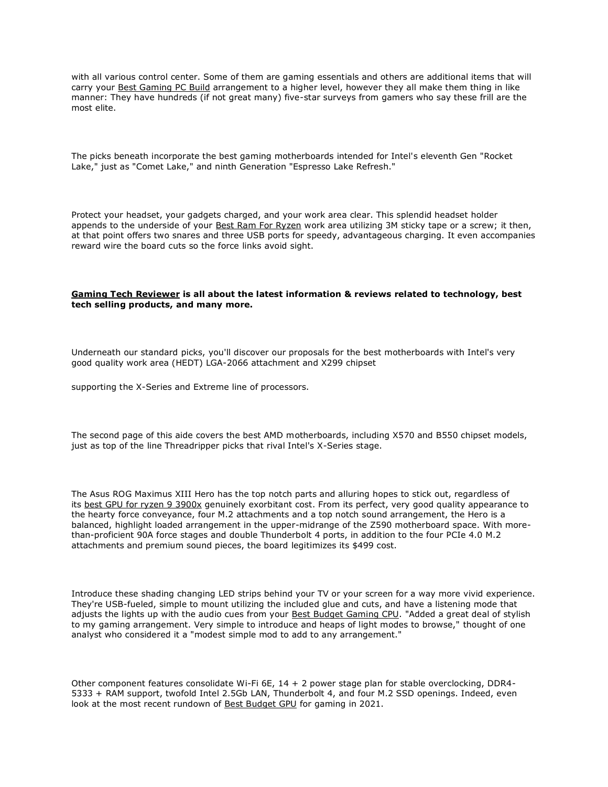with all various control center. Some of them are gaming essentials and others are additional items that will carry your [Best Gaming PC Build](https://www.gamingtechreviewer.com/pc-builds/best-gaming-pc-build/) arrangement to a higher level, however they all make them thing in like manner: They have hundreds (if not great many) five-star surveys from gamers who say these frill are the most elite.

The picks beneath incorporate the best gaming motherboards intended for Intel's eleventh Gen "Rocket Lake," just as "Comet Lake," and ninth Generation "Espresso Lake Refresh."

Protect your headset, your gadgets charged, and your work area clear. This splendid headset holder appends to the underside of your [Best Ram For Ryzen](https://www.gamingtechreviewer.com/rams/best-ram-for-ryzen/) work area utilizing 3M sticky tape or a screw; it then, at that point offers two snares and three USB ports for speedy, advantageous charging. It even accompanies reward wire the board cuts so the force links avoid sight.

## **[Gaming Tech Reviewer](https://www.gamingtechreviewer.com/) is all about the latest information & reviews related to technology, best tech selling products, and many more.**

Underneath our standard picks, you'll discover our proposals for the best motherboards with Intel's very good quality work area (HEDT) LGA-2066 attachment and X299 chipset

supporting the X-Series and Extreme line of processors.

The second page of this aide covers the best AMD motherboards, including X570 and B550 chipset models, just as top of the line Threadripper picks that rival Intel's X-Series stage.

The Asus ROG Maximus XIII Hero has the top notch parts and alluring hopes to stick out, regardless of its [best GPU for ryzen 9 3900x](https://dariusreviews.com/best-gpu-for-ryzen-9-3900x/) genuinely exorbitant cost. From its perfect, very good quality appearance to the hearty force conveyance, four M.2 attachments and a top notch sound arrangement, the Hero is a balanced, highlight loaded arrangement in the upper-midrange of the Z590 motherboard space. With morethan-proficient 90A force stages and double Thunderbolt 4 ports, in addition to the four PCIe 4.0 M.2 attachments and premium sound pieces, the board legitimizes its \$499 cost.

Introduce these shading changing LED strips behind your TV or your screen for a way more vivid experience. They're USB-fueled, simple to mount utilizing the included glue and cuts, and have a listening mode that adjusts the lights up with the audio cues from your [Best Budget Gaming CPU.](https://www.gamingtechreviewer.com/cpus/best-budget-gaming-cpu/) "Added a great deal of stylish to my gaming arrangement. Very simple to introduce and heaps of light modes to browse," thought of one analyst who considered it a "modest simple mod to add to any arrangement."

Other component features consolidate Wi-Fi 6E, 14 + 2 power stage plan for stable overclocking, DDR4- 5333 + RAM support, twofold Intel 2.5Gb LAN, Thunderbolt 4, and four M.2 SSD openings. Indeed, even look at the most recent rundown of **[Best Budget GPU](https://www.gamingtechreviewer.com/graphics-cards/best-budget-gpu/)** for gaming in 2021.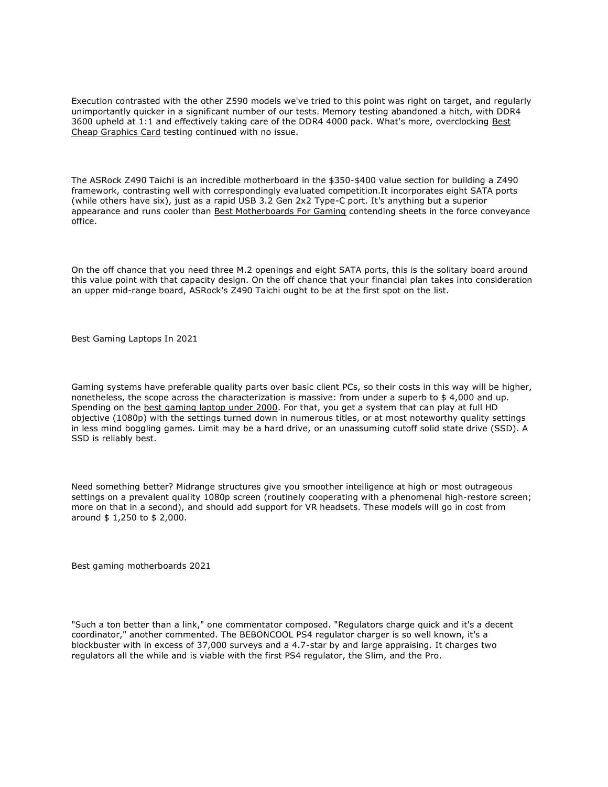Execution contrasted with the other Z590 models we've tried to this point was right on target, and regularly unimportantly quicker in a significant number of our tests. Memory testing abandoned a hitch, with DDR4 3600 upheld at 1:1 and effectively taking care of the DDR4 4000 pack. What's more, overclocking [Best](https://www.gamingtechreviewer.com/graphics-cards/best-cheap-graphics-card/)  [Cheap Graphics Card](https://www.gamingtechreviewer.com/graphics-cards/best-cheap-graphics-card/) testing continued with no issue.

The ASRock Z490 Taichi is an incredible motherboard in the \$350-\$400 value section for building a Z490 framework, contrasting well with correspondingly evaluated competition.It incorporates eight SATA ports (while others have six), just as a rapid USB 3.2 Gen 2x2 Type-C port. It's anything but a superior appearance and runs cooler than [Best Motherboards For Gaming](https://www.gamingtechreviewer.com/motherboards/best-motherboards-for-gaming/) contending sheets in the force conveyance office.

On the off chance that you need three M.2 openings and eight SATA ports, this is the solitary board around this value point with that capacity design. On the off chance that your financial plan takes into consideration an upper mid-range board, ASRock's Z490 Taichi ought to be at the first spot on the list.

Best Gaming Laptops In 2021

Gaming systems have preferable quality parts over basic client PCs, so their costs in this way will be higher, nonetheless, the scope across the characterization is massive: from under a superb to \$ 4,000 and up. Spending on the **best gaming laptop under 2000**. For that, you get a system that can play at full HD objective (1080p) with the settings turned down in numerous titles, or at most noteworthy quality settings in less mind boggling games. Limit may be a hard drive, or an unassuming cutoff solid state drive (SSD). A SSD is reliably best.

Need something better? Midrange structures give you smoother intelligence at high or most outrageous settings on a prevalent quality 1080p screen (routinely cooperating with a phenomenal high-restore screen; more on that in a second), and should add support for VR headsets. These models will go in cost from around \$ 1,250 to \$ 2,000.

Best gaming motherboards 2021

"Such a ton better than a link," one commentator composed. "Regulators charge quick and it's a decent coordinator," another commented. The BEBONCOOL PS4 regulator charger is so well known, it's a blockbuster with in excess of 37,000 surveys and a 4.7-star by and large appraising. It charges two regulators all the while and is viable with the first PS4 regulator, the Slim, and the Pro.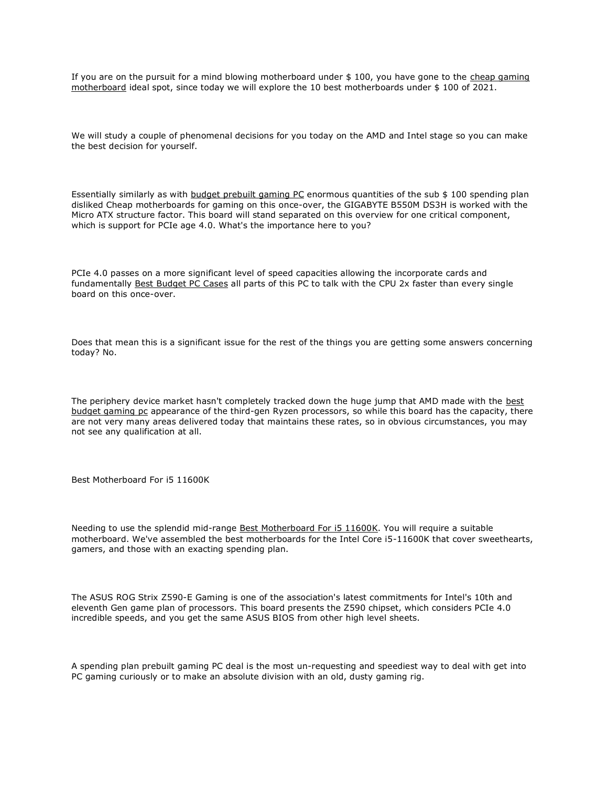If you are on the pursuit for a mind blowing motherboard under \$ 100, you have gone to the cheap gaming [motherboard](https://www.gamingtechreviewer.com/motherboards/best-motherboards-for-gaming/) ideal spot, since today we will explore the 10 best motherboards under \$ 100 of 2021.

We will study a couple of phenomenal decisions for you today on the AMD and Intel stage so you can make the best decision for yourself.

Essentially similarly as with [budget prebuilt gaming PC](https://dariusreviews.com/top-10-budget-prebuilt-gaming-pc/) enormous quantities of the sub \$ 100 spending plan disliked Cheap motherboards for gaming on this once-over, the GIGABYTE B550M DS3H is worked with the Micro ATX structure factor. This board will stand separated on this overview for one critical component, which is support for PCIe age 4.0. What's the importance here to you?

PCIe 4.0 passes on a more significant level of speed capacities allowing the incorporate cards and fundamentally [Best Budget PC Cases](https://www.gamingtechreviewer.com/pc-cases/best-budget-pc-cases/) all parts of this PC to talk with the CPU 2x faster than every single board on this once-over.

Does that mean this is a significant issue for the rest of the things you are getting some answers concerning today? No.

The periphery device market hasn't completely tracked down the huge jump that AMD made with the [best](https://dariusreviews.com/best-budget-gaming-pc/)  [budget gaming pc](https://dariusreviews.com/best-budget-gaming-pc/) appearance of the third-gen Ryzen processors, so while this board has the capacity, there are not very many areas delivered today that maintains these rates, so in obvious circumstances, you may not see any qualification at all.

Best Motherboard For i5 11600K

Needing to use the splendid mid-range [Best Motherboard For i5 11600K.](https://www.gamingtechreviewer.com/motherboards/best-motherboard-for-i5-11600k/) You will require a suitable motherboard. We've assembled the best motherboards for the Intel Core i5-11600K that cover sweethearts, gamers, and those with an exacting spending plan.

The ASUS ROG Strix Z590-E Gaming is one of the association's latest commitments for Intel's 10th and eleventh Gen game plan of processors. This board presents the Z590 chipset, which considers PCIe 4.0 incredible speeds, and you get the same ASUS BIOS from other high level sheets.

A spending plan prebuilt gaming PC deal is the most un-requesting and speediest way to deal with get into PC gaming curiously or to make an absolute division with an old, dusty gaming rig.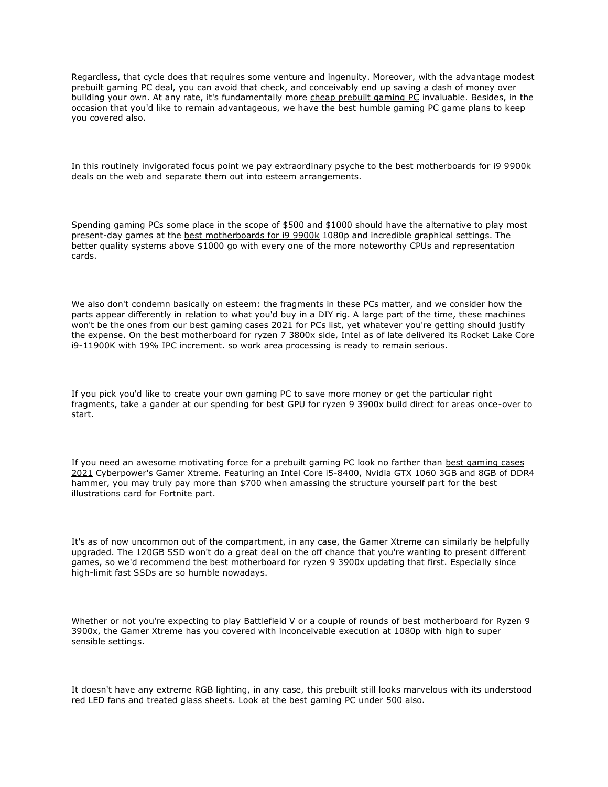Regardless, that cycle does that requires some venture and ingenuity. Moreover, with the advantage modest prebuilt gaming PC deal, you can avoid that check, and conceivably end up saving a dash of money over building your own. At any rate, it's fundamentally more [cheap prebuilt gaming PC](https://dariusreviews.com/top-10-budget-prebuilt-gaming-pc/) invaluable. Besides, in the occasion that you'd like to remain advantageous, we have the best humble gaming PC game plans to keep you covered also.

In this routinely invigorated focus point we pay extraordinary psyche to the best motherboards for i9 9900k deals on the web and separate them out into esteem arrangements.

Spending gaming PCs some place in the scope of \$500 and \$1000 should have the alternative to play most present-day games at the [best motherboards for i9 9900k](https://dariusreviews.com/best-motherboards-for-i9-9900k/) 1080p and incredible graphical settings. The better quality systems above \$1000 go with every one of the more noteworthy CPUs and representation cards.

We also don't condemn basically on esteem: the fragments in these PCs matter, and we consider how the parts appear differently in relation to what you'd buy in a DIY rig. A large part of the time, these machines won't be the ones from our best gaming cases 2021 for PCs list, yet whatever you're getting should justify the expense. On the [best motherboard for ryzen 7 3800x](https://dariusreviews.com/best-motherboard-for-ryzen-7-3800x/) side, Intel as of late delivered its Rocket Lake Core i9-11900K with 19% IPC increment. so work area processing is ready to remain serious.

If you pick you'd like to create your own gaming PC to save more money or get the particular right fragments, take a gander at our spending for best GPU for ryzen 9 3900x build direct for areas once-over to start.

If you need an awesome motivating force for a prebuilt gaming PC look no farther than [best gaming cases](https://dariusreviews.com/best-gaming-cases-2021/)  [2021](https://dariusreviews.com/best-gaming-cases-2021/) Cyberpower's Gamer Xtreme. Featuring an Intel Core i5-8400, Nvidia GTX 1060 3GB and 8GB of DDR4 hammer, you may truly pay more than \$700 when amassing the structure yourself part for the best illustrations card for Fortnite part.

It's as of now uncommon out of the compartment, in any case, the Gamer Xtreme can similarly be helpfully upgraded. The 120GB SSD won't do a great deal on the off chance that you're wanting to present different games, so we'd recommend the best motherboard for ryzen 9 3900x updating that first. Especially since high-limit fast SSDs are so humble nowadays.

Whether or not you're expecting to play Battlefield V or a couple of rounds of best motherboard for Ryzen 9 [3900x,](https://dariusreviews.com/best-motherboard-for-ryzen-9-3900x/) the Gamer Xtreme has you covered with inconceivable execution at 1080p with high to super sensible settings.

It doesn't have any extreme RGB lighting, in any case, this prebuilt still looks marvelous with its understood red LED fans and treated glass sheets. Look at the best gaming PC under 500 also.